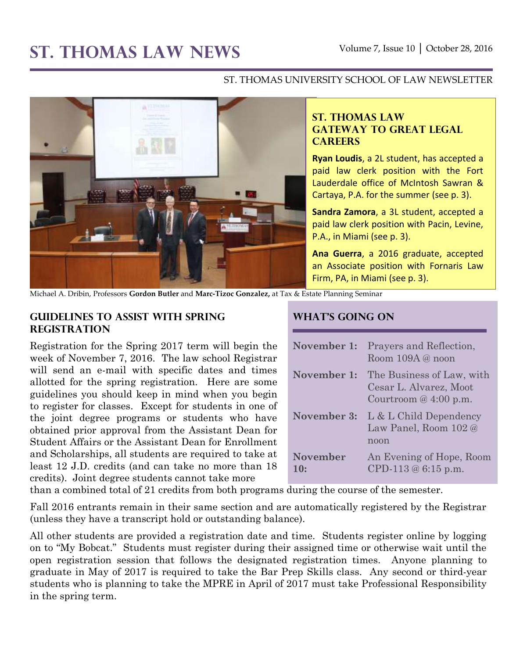# ST. THOMAS LAW NEWS Volume 7, Issue 10 | October 28, 2016

#### ST. THOMAS UNIVERSITY SCHOOL OF LAW NEWSLETTER



# **ST. THOMAS LAW GATEWAY TO GREAT LEGAL CAREERS**

**Ryan Loudis**, a 2L student, has accepted a paid law clerk position with the Fort Lauderdale office of McIntosh Sawran & Cartaya, P.A. for the summer (see p. 3).

**Sandra Zamora**, a 3L student, accepted a paid law clerk position with Pacin, Levine, P.A., in Miami (see p. 3).

**Ana Guerra**, a 2016 graduate, accepted an Associate position with Fornaris Law Firm, PA, in Miami (see p. 3).

Michael A. Dribin, Professors **Gordon Butler** and **Marc-Tizoc Gonzalez,** at Tax & Estate Planning Seminar

# **Guidelines to Assist With Spring Registration**

Registration for the Spring 2017 term will begin the week of November 7, 2016. The law school Registrar will send an e-mail with specific dates and times allotted for the spring registration. Here are some guidelines you should keep in mind when you begin to register for classes. Except for students in one of the joint degree programs or students who have obtained prior approval from the Assistant Dean for Student Affairs or the Assistant Dean for Enrollment and Scholarships, all students are required to take at least 12 J.D. credits (and can take no more than 18 credits). Joint degree students cannot take more

# **What's Going On**

| November 1:            | Prayers and Reflection,<br>Room 109A @ noon                                   |
|------------------------|-------------------------------------------------------------------------------|
| November 1:            | The Business of Law, with<br>Cesar L. Alvarez, Moot<br>Courtroom $@4:00$ p.m. |
| November 3:            | L & L Child Dependency<br>Law Panel, Room 102 @<br>noon                       |
| <b>November</b><br>10: | An Evening of Hope, Room<br>CPD-113 $@6:15$ p.m.                              |

than a combined total of 21 credits from both programs during the course of the semester.

Fall 2016 entrants remain in their same section and are automatically registered by the Registrar (unless they have a transcript hold or outstanding balance).

All other students are provided a registration date and time. Students register online by logging on to "My Bobcat." Students must register during their assigned time or otherwise wait until the open registration session that follows the designated registration times. Anyone planning to graduate in May of 2017 is required to take the Bar Prep Skills class. Any second or third-year students who is planning to take the MPRE in April of 2017 must take Professional Responsibility in the spring term.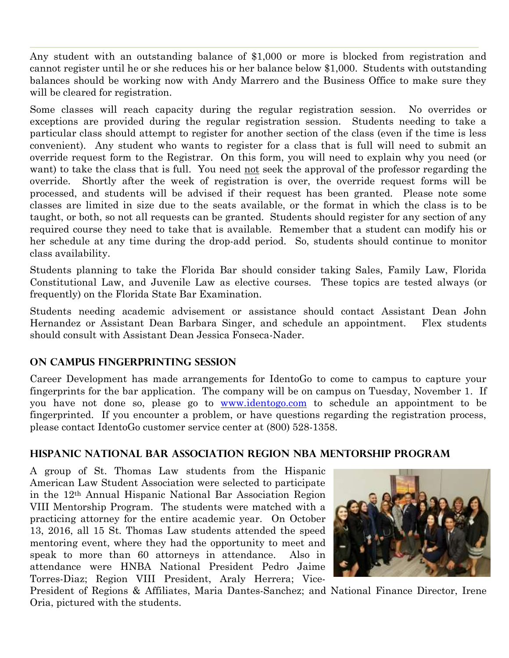Any student with an outstanding balance of \$1,000 or more is blocked from registration and cannot register until he or she reduces his or her balance below \$1,000. Students with outstanding balances should be working now with Andy Marrero and the Business Office to make sure they will be cleared for registration.

Some classes will reach capacity during the regular registration session. No overrides or exceptions are provided during the regular registration session. Students needing to take a particular class should attempt to register for another section of the class (even if the time is less convenient). Any student who wants to register for a class that is full will need to submit an override request form to the Registrar. On this form, you will need to explain why you need (or want) to take the class that is full. You need not seek the approval of the professor regarding the override. Shortly after the week of registration is over, the override request forms will be processed, and students will be advised if their request has been granted. Please note some classes are limited in size due to the seats available, or the format in which the class is to be taught, or both, so not all requests can be granted. Students should register for any section of any required course they need to take that is available. Remember that a student can modify his or her schedule at any time during the drop-add period. So, students should continue to monitor class availability.

Students planning to take the Florida Bar should consider taking Sales, Family Law, Florida Constitutional Law, and Juvenile Law as elective courses. These topics are tested always (or frequently) on the Florida State Bar Examination.

Students needing academic advisement or assistance should contact Assistant Dean John Hernandez or Assistant Dean Barbara Singer, and schedule an appointment. Flex students should consult with Assistant Dean Jessica Fonseca-Nader.

# **On Campus Fingerprinting Session**

Career Development has made arrangements for IdentoGo to come to campus to capture your fingerprints for the bar application. The company will be on campus on Tuesday, November 1. If you have not done so, please go to [www.identogo.com](http://www.identogo.com/) to schedule an appointment to be fingerprinted. If you encounter a problem, or have questions regarding the registration process, please contact IdentoGo customer service center at (800) 528-1358.

# **Hispanic National Bar Association Region NBA Mentorship Program**

A group of St. Thomas Law students from the Hispanic American Law Student Association were selected to participate in the 12th Annual Hispanic National Bar Association Region VIII Mentorship Program. The students were matched with a practicing attorney for the entire academic year. On October 13, 2016, all 15 St. Thomas Law students attended the speed mentoring event, where they had the opportunity to meet and speak to more than 60 attorneys in attendance. Also in attendance were HNBA National President Pedro Jaime Torres-Diaz; Region VIII President, Araly Herrera; Vice-



President of Regions & Affiliates, Maria Dantes-Sanchez; and National Finance Director, Irene Oria, pictured with the students.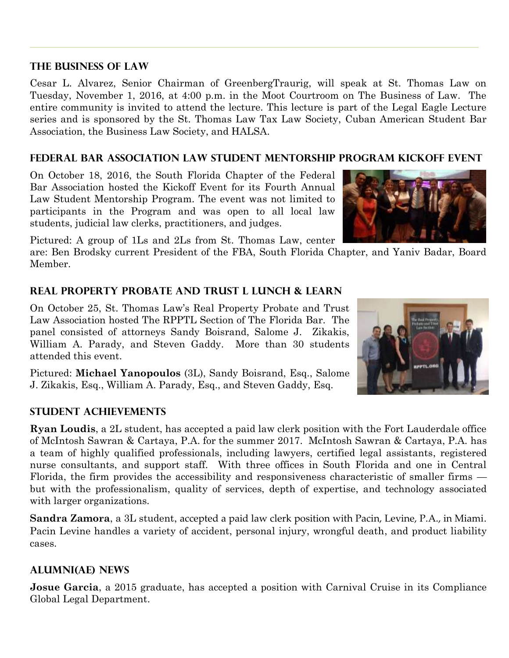#### **The Business of Law**

Cesar L. Alvarez, Senior Chairman of GreenbergTraurig, will speak at St. Thomas Law on Tuesday, November 1, 2016, at 4:00 p.m. in the Moot Courtroom on The Business of Law. The entire community is invited to attend the lecture. This lecture is part of the Legal Eagle Lecture series and is sponsored by the St. Thomas Law Tax Law Society, Cuban American Student Bar Association, the Business Law Society, and HALSA.

# **Federal Bar Association Law Student Mentorship Program Kickoff Event**

On October 18, 2016, the South Florida Chapter of the Federal Bar Association hosted the Kickoff Event for its Fourth Annual Law Student Mentorship Program. The event was not limited to participants in the Program and was open to all local law students, judicial law clerks, practitioners, and judges.

Pictured: A group of 1Ls and 2Ls from St. Thomas Law, center

are: Ben Brodsky current President of the FBA, South Florida Chapter, and Yaniv Badar, Board Member.

# **Real Property Probate and Trust L Lunch & Learn**

On October 25, St. Thomas Law's Real Property Probate and Trust Law Association hosted The RPPTL Section of The Florida Bar. The panel consisted of attorneys Sandy Boisrand, Salome J. Zikakis, William A. Parady, and Steven Gaddy. More than 30 students attended this event.

Pictured: **Michael Yanopoulos** (3L), Sandy Boisrand, Esq., Salome J. Zikakis, Esq., William A. Parady, Esq., and Steven Gaddy, Esq.

# **STUDENT ACHIEVEMENTS**

**Ryan Loudis**, a 2L student, has accepted a paid law clerk position with the Fort Lauderdale office of McIntosh Sawran & Cartaya, P.A. for the summer 2017. McIntosh Sawran & Cartaya, P.A. has a team of highly qualified professionals, including lawyers, certified legal assistants, registered nurse consultants, and support staff. With three offices in South Florida and one in Central Florida, the firm provides the accessibility and responsiveness characteristic of smaller firms but with the professionalism, quality of services, depth of expertise, and technology associated with larger organizations.

**Sandra Zamora**, a 3L student, accepted a paid law clerk position with Pacin, Levine, P.A., in Miami. Pacin Levine handles a variety of accident, personal injury, wrongful death, and product liability cases.

# **ALUMNI(AE) NEWS**

**Josue Garcia**, a 2015 graduate, has accepted a position with Carnival Cruise in its Compliance Global Legal Department.